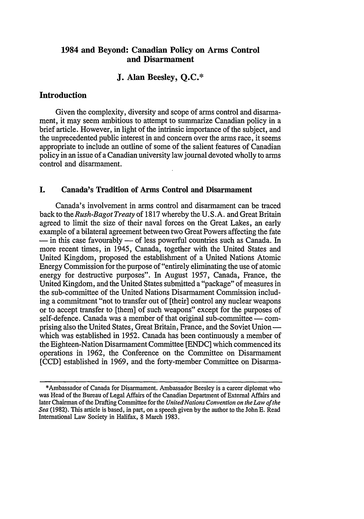# **1984 and Beyond: Canadian Policy on Arms Control and Disarmament**

# **J. Alan Beesley, Q.C.\***

# **Introduction**

Given the complexity, diversity and scope of arms control and disarmament, it may seem ambitious to attempt to summarize Canadian policy in a brief article. However, in light of the intrinsic importance of the subject, and the unprecedented public interest in and concern over the arms race, it seems appropriate to include an outline of some of the salient features of Canadian policy in an issue of a Canadian university law journal devoted wholly to arms control and disarmament.

## **I.** Canada's Tradition of Arms Control and Disarmament

Canada's involvement in arms control and disarmament can be traced back to the *Rush-Bagot Treaty* of 1817 whereby the U.S.A. and Great Britain agreed to limit the size of their naval forces on the Great Lakes, an early example of a bilateral agreement between two Great Powers affecting the fate **-** in this case favourably - of less powerful countries such as Canada. In more recent times, in 1945, Canada, together with the United States and United Kingdom, proposed the establishment of a United Nations Atomic Energy Commission for the purpose of "entirely eliminating the use of atomic energy for destructive purposes". In August 1957, Canada, France, the United Kingdom, and the United States submitted a "package" of measures in the sub-committee of the United Nations Disarmament Commission including a commitment "not to transfer out of [their] control any nuclear weapons or to accept transfer to [them] of such weapons" except for the purposes of self-defence. Canada was a member of that original sub-committee — comprising also the United States, Great Britain, France, and the Soviet Union  which was established in 1952. Canada has been continuously a member of the Eighteen-Nation Disarmament Committee [ENDC] which commenced its operations in 1962, the Conference on the Committee on Disarmament [CCD] established in 1969, and the forty-member Committee on Disarma-

<sup>\*</sup>Ambassador of Canada for Disarmament. Ambassador Beesley is a career diplomat who was Head of the Bureau of Legal Affairs of the Canadian Department of External Affairs and later Chairman of the Drafting Committee for the *United Nations Convention on the Law of the Sea* (1982). This article is based, in part, on a speech given by the author to the John **E.** Read International Law Society in Halifax, 8 March 1983.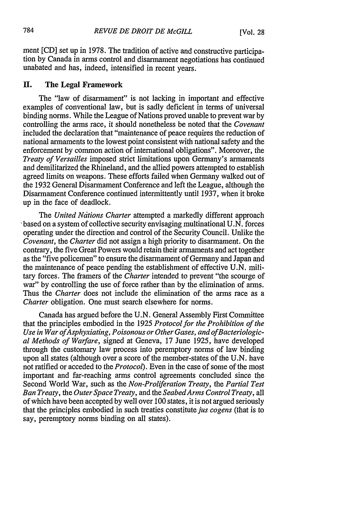ment [CD] set up in 1978. The tradition of active and constructive participation by Canada in arms control and disarmament negotiations has continued unabated and has, indeed, intensified in recent years.

## **H. The Legal Framework**

The "law of disarmament" is not lacking in important and effective examples of conventional law, but is sadly deficient in terms of universal binding norms. While the League of Nations proved unable to prevent war by controlling the arms race, it should nonetheless be noted that the *Covenant* included the declaration that "maintenance of peace requires the reduction of national armaments to the lowest point consistent with national safety and the enforcement by common action of international obligations". Moreover, the *Treaty of Versailles* imposed strict limitations upon Germany's armaments and demilitarized the Rhineland, and the allied powers attempted to establish agreed limits on weapons. These efforts failed when Germany walked out of the 1932 General Disarmament Conference and left the League, although the Disarmament Conference continued intermittently until 1937, when it broke up in the face of deadlock.

The *United Ndtions Charter* attempted a markedly different approach • based on a system of collective security envisaging multinational U.N. forces operating under the direction and control of the Security Council. Unlike the *Covenant,* the *Charter* did not assign a high priority to disarmament. On the contrary, the five Great Powers would retain their armaments and act together as the "five policemen" to ensure the disarmament of Germany and Japan and the maintenance of peace pending the establishment of effective U.N. military forces. The framers of the *Charter* intended to prevent "the scourge of war" by controlling the use of force rather than by the elimination of arms. Thus the *Charter* does not include the elimination of the arms race as a *Charter* obligation. One must search elsewhere for norms.

Canada has argued before the U.N. General Assembly First Committee that the principles embodied in the 1925 *Protocol for the Prohibition of the Use in War ofAsphyxiating, Poisonous or Other Gases, and ofBacteriological Methods of Warfare,* signed at Geneva, 17 June 1925, have developed through the customary law process into peremptory norms of law binding upon all states (although over a score of the member-states of the U.N. have not ratified or acceded to the *Protocol).* Even in the case of some of the most important and far-reaching arms control agreements concluded since the Second World War, such as the *Non-Proliferation Treaty,* the *Partial Test Ban Treaty,* the *Outer Space Treaty,* and the *SeabedArms Control Treaty,* all of which have been accepted by well over 100 states, it is not argued seriously that the principles embodied in such treaties constitute *jus cogens* (that is to say, peremptory norms binding on all states).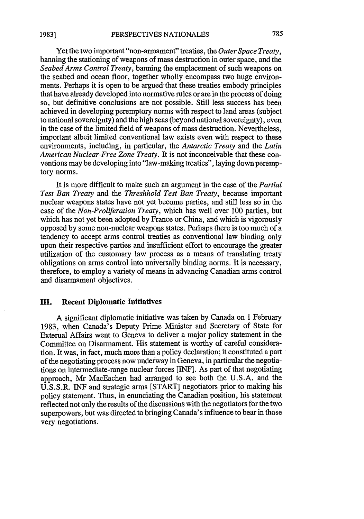Yet the two important "non-armament" treaties, the *Outer Space Treaty,* banning the stationing of weapons of mass destruction in outer space, and the *Seabed Arms Control Treaty,* banning the emplacement of such weapons on the seabed and ocean floor, together wholly encompass two huge environments. Perhaps it is open to be argued that these treaties embody principles that have already developed into normative rules or are in the process of doing so, but definitive conclusions are not possible. Still less success has been achieved in developing peremptory norms with respect to land areas (subject to national sovereignty) and the high seas (beyond national sovereignty), even in the case of the limited field of weapons of mass destruction. Nevertheless, important albeit limited conventional law exists even with respect to these environments, including, in particular, the *Antarctic Treaty* and the *Latin American Nuclear-Free Zone Treaty.* It is not inconceivable that these conventions may be developing into "law-making treaties", laying down peremptory norms.

It is more difficult to make such an argument in the case of the *Partial Test Ban Treaty* and the *Threshhold Test Ban Treaty,* because important nuclear weapons states have not yet become parties, and still less so in the case of the *Non-Proliferation Treaty,* which has well over 100 parties, but which has not yet been adopted by France or China, and which is vigorously opposed by some non-nuclear weapons states. Perhaps there is too much of a tendency to accept arms control treaties as conventional law binding only upon their respective parties and insufficient effort to encourage the greater utilization of the customary law process as a means of translating treaty obligations on arms control into universally binding norms. It is necessary, therefore, to employ a variety of means in advancing Canadian arms control and disarmament objectives.

# **II.** Recent Diplomatic Initiatives

A significant diplomatic initiative was taken by Canada on **1** February 1983, when Canada's Deputy Prime Minister and Secretary of State for External Affairs went to Geneva to deliver a major policy statement in the Committee on Disarmament. His statement is worthy of careful consideration. It was, in fact, much more than a policy declaration; it constituted a part of the negotiating process now underway in Geneva, in particular the negotiations on intermediate-range nuclear forces [INF]. As part of that negotiating approach, Mr MacEachen had arranged to see both the U.S.A. and the U.S.S.R. INF and strategic arms [START] negotiators prior to making his policy statement. Thus, in enunciating the Canadian position, his statement reflected not only the results of the discussions with the negotiators for the two superpowers, but was directed to bringing Canada's influence to bear in those very negotiations.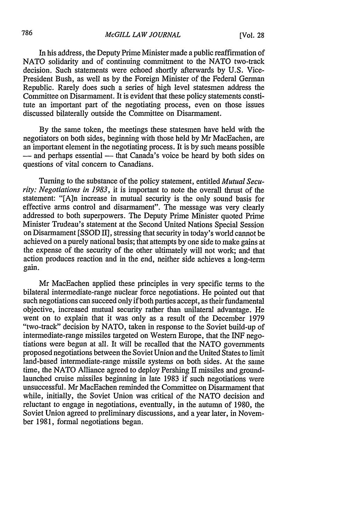In his address, the Deputy Prime Minister made a public reaffirmation of NATO solidarity and of continuing commitment to the NATO two-track decision. Such statements were echoed shortly afterwards by U.S. Vice-President Bush, as well as by the Foreign Minister of the Federal German Republic. Rarely does such a series of high level statesmen address the Committee on Disarmament. It is evident that these policy statements constitute an important part of the negotiating process, even on those issues discussed bilaterally outside the Committee on Disarmament.

By the same token, the meetings these statesmen have held with the negotiators on both sides, beginning with those held by Mr MacEachen, are an important element in the negotiating process. It is by such means possible  $-$  and perhaps essential  $-$  that Canada's voice be heard by both sides on questions of vital concern to Canadians.

Turning to the substance of the policy statement, entitled *Mutual Security: Negotiations in 1983,* it is important to note the overall thrust of the statement: "[A]n increase in mutual security is the only sound basis for effective arms control and disarmament". The message was very clearly addressed to both superpowers. The Deputy Prime Minister quoted Prime Minister Trudeau's statement at the Second United Nations Special Session on Disarmament [SSOD I], stressing that security in today's world cannot be achieved on a purely national basis; that attempts by one side to make gains at the expense of the security of the other ultimately will not work; and that action produces reaction and in the end, neither side achieves a long-term gain.

Mr MacEachen applied these principles in very specific terms to the bilateral intermediate-range nuclear force negotiations. He pointed out that such negotiations can succeed only if both parties accept, as their fundamental objective, increased mutual security rather than unilateral advantage. He went on to explain that it was only as a result of the December 1979 "two-track" decision by NATO, taken in response to the Soviet build-up of intermediate-range missiles targeted on Western Europe, that the INF negotiations were begun at all. It will be recalled that the NATO governments proposed negotiations between the Soviet Union and the United States to limit land-based intermediate-range missile systems on both sides. At the same time, the NATO Alliance agreed to deploy Pershing II missiles and groundlaunched cruise missiles beginning in late 1983 if such negotiations were unsuccessful. Mr MacEachen reminded the Committee on Disarmament that while, initially, the Soviet Union was critical of the NATO decision and reluctant to engage in negotiations, eventually, in the autumn of 1980, the Soviet Union agreed to preliminary discussions, and a year later, in November 1981, formal negotiations began.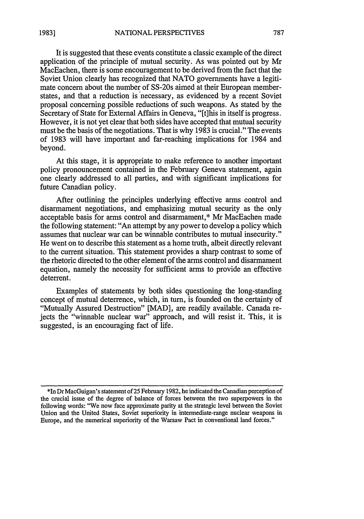It is suggested that these events constitute a classic example of the direct application of the principle of mutual security. As was pointed out by Mr MacEachen, there is some encouragement to be derived from the fact that the Soviet Union clearly has recognized that NATO governments have a legitimate concern about the number of SS-20s aimed at their European memberstates, and that a reduction is necessary, as evidenced by a recent Soviet proposal concerning possible reductions of such weapons. As stated by the Secretary of State for External Affairs in Geneva, "[t]his in itself is progress. However, it is not yet clear that both sides have accepted that mutual security must be the basis of the negotiations. That is why 1983 is crucial." The events of 1983 will have important and far-reaching implications for 1984 and beyond.

At this stage, it is appropriate to make reference to another important policy pronouncement contained in the February Geneva statement, again one clearly addressed to all parties, and with significant implications for future Canadian policy.

After outlining the principles underlying effective arms control and disarmament negotiations, and emphasizing mutual security as the only acceptable basis for arms control and disarmament,\* Mr MacEachen made the following statement: "An attempt by any power to develop a policy which assumes that nuclear war can be winnable contributes to mutual insecurity." He went on to describe this statement as a home truth, albeit directly relevant to the current situation. This statement provides a sharp contrast to some of the rhetoric directed to the other element of the arms control and disarmament equation, namely the necessity for sufficient arms to provide an effective deterrent.

Examples of statements by both sides questioning the long-standing concept of mutual deterrence, which, in turn, is founded on the certainty of "Mutually Assured Destruction" [MAD], are readily available. Canada reiects the "winnable nuclear war" approach, and will resist it. This, it is suggested, is an encouraging fact of life.

<sup>\*</sup>In Dr MacGuigan's statement of 25 February 1982, he indicated the Canadian perception of the crucial issue of the degree of balance of forces between the two superpowers in the following words: "We now face approximate parity at the strategic level between the Soviet Union and the United States, Soviet superiority in intermediate-range nuclear weapons in Europe, and the numerical superiority of the Warsaw Pact in conventional land forces."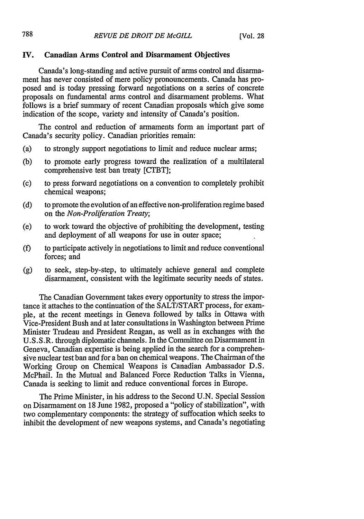#### **IV.** Canadian Arms Control and Disarmament Objectives

Canada's long-standing and active pursuit of arms control and disarmament has never consisted of mere policy pronouncements. Canada has proposed and is today pressing forward negotiations on a series of concrete proposals on fundamental arms control and disarmament problems. What follows is a brief summary of recent Canadian proposals which give some indication of the scope, variety and intensity of Canada's position.

The control and reduction of armaments form an important part of Canada's security policy. Canadian priorities remain:

- (a) to strongly support negotiations to limit and reduce nuclear arms;
- **(b)** to promote early progress toward the realization of a multilateral comprehensive test ban treaty [CTBT];
- (c) to press forward negotiations on a convention to completely prohibit chemical weapons;
- (d) to promote the evolution of an effective non-proliferation regime based on the *Non-Proliferation Treaty;*
- (e) to work toward the objective of prohibiting the development, testing and deployment of all weapons for use in outer space;
- **(f)** to participate actively in negotiations to limit and reduce conventional forces; and
- (g) to seek, step-by-step, to ultimately achieve general and complete disarmament, consistent with the legitimate security needs of states.

The Canadian Government takes every opportunity to stress the importance it attaches to the continuation of the SALT/START process, for example, at the recent meetings in Geneva followed by talks in Ottawa with Vice-President Bush and at later consultations in Washington between Prime Minister Trudeau and President Reagan, as well as in exchanges with the U.S.S.R. through diplomatic channels. In the Committee on Disarmament in Geneva, Canadian expertise is being applied in the search for a comprehensive nuclear test ban and for a ban on chemical weapons. The Chairman of the Working Group on Chemical Weapons is Canadian Ambassador D.S. McPhail. In the Mutual and Balanced Force Reduction Talks in Vienna, Canada is seeking to limit and reduce conventional forces in Europe.

The Prime Minister, in his address to the Second U.N. Special Session on Disarmament on 18 June 1982, proposed a "policy of stabilization", with two complementary components: the strategy of suffocation which seeks to inhibit the development of new weapons systems, and Canada's negotiating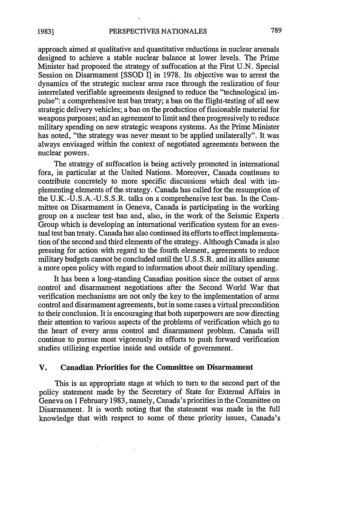approach aimed at qualitative and quantitative reductions in nuclear arsenals designed to achieve a stable nuclear balance at lower levels. The Prime Minister had proposed the strategy of suffocation at the First U.N. Special Session on Disarmament [SSOD I] in 1978. Its objective was to arrest the dynamics of the strategic nuclear arms race through the realization of four interrelated verifiable agreements designed to reduce the "technological impulse": a comprehensive test ban treaty; a ban on the flight-testing of all new strategic delivery vehicles; a ban on the production of fissionable material for weapons purposes; and an agreement to limit and then progressively to reduce military spending on new strategic weapons systems. As the Prime Minister has noted, "the strategy was never meant to be applied unilaterally". It was always envisaged within the context of negotiated agreements between the nuclear powers.

The strategy of suffocation is being actively promoted in international fora, in particular at the United Nations. Moreover, Canada continues to contribute concretely to more specific discussions which deal with implementing elements of the strategy. Canada has called for the resumption of the U.K.-U.S.A.-U.S.S.R. talks on a comprehensive test ban. In the Committee on Disarmament in Geneva, Canada is participating in the working group on a nuclear test ban and, also, in the work of the Seismic Experts Group which is developing an international verification system for an eventual test ban treaty. Canada has also continued its efforts to effect implementation of the second and third elements of the strategy. Although Canada is also pressing for action with regard to the fourth element, agreements to reduce military budgets cannot be concluded until the U.S.S.R. and its allies assume a more open policy with regard to information about their military spending.

It has been a long-standing Canadian position since the outset of arms control and disarmament negotiations after the Second World War that verification mechanisms are not only the key to the implementation of arms control and disarmament agreements, but in some cases a virtual precondition to their conclusion. It is encouraging that both superpowers are now directing their attention to various aspects of the problems of verification which go to the heart of every arms control and disarmament problem. Canada will continue to pursue most vigorously its efforts to push forward verification studies utilizing expertise inside and outside of government.

#### V. Canadian Priorities for the Committee on Disarmament

This is an appropriate stage at which to turn to the second part of the policy statement made by the Secretary of State for External Affairs in Geneva on 1 February 1983, namely, Canada's priorities in the Committee on Disarmament. It is worth noting that the statement was made in the full knowledge that with respect to some of these priority issues, Canada's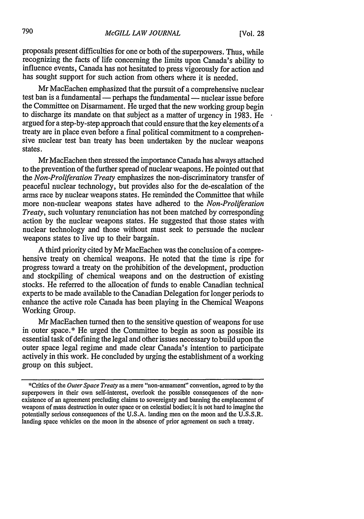proposals present difficulties for one or both of the superpowers. Thus, while recognizing the facts of life concerning the limits upon Canada's ability to influence events, Canada has not hesitated to press vigorously for action and has sought support for such action from others where it is needed.

Mr MacEachen emphasized that the pursuit of a comprehensive nuclear test ban is a fundamental — perhaps the fundamental — nuclear issue before the Committee on Disarmament. He urged that the new working group begin to discharge its mandate on that subject as a matter of urgency in 1983. He argued for a step-by-step approach that could ensure that the key elements of a treaty are in place even before a final political commitment to a comprehensive nuclear test ban treaty has been undertaken by the nuclear weapons states.

Mr MacEachen then stressed the importance Canada has always attached to the prevention of the further spread of nuclear weapons. He pointed out that the *Non-Proliferation Treaty* emphasizes the non-discriminatory transfer of peaceful nuclear technology, but provides also for the de-escalation of the arms race by nuclear weapons states. He reminded the Committee that while more non-nuclear weapons states have adhered to the *Non-Proliferation Treaty,* such voluntary renunciation has not been matched by corresponding action by the nuclear weapons states. He suggested that those states with nuclear technology and those without must seek to persuade the nuclear weapons states to live up to their bargain.

A third priority cited by Mr MacEachen was the conclusion of a comprehensive treaty on chemical weapons. He noted that the time is ripe for progress toward a treaty on the prohibition of the development, production and stockpiling of chemical weapons and on the destruction of existing stocks. He referred to the allocation of funds to enable Canadian technical experts to be made available to the Canadian Delegation for longer periods to enhance the active role Canada has been playing in the Chemical Weapons Working Group.

Mr MacEachen turned then to the sensitive question of weapons for use in outer space.\* He urged the Committee to begin as soon as possible its essential task of defining the legal and other issues necessary to build upon the outer space legal regime and made clear Canada's intention to participate actively in this work. He concluded by urging the establishment of a working group on this subject.

<sup>\*</sup>Critics of the *Outer Space Treaty* as a mere "non-armament" convention, agreed to by the superpowers in their own self-interest, overlook the possible consequences of the nonexistence of an agreement precluding claims to sovereignty and banning the emplacement of weapons of mass destruction in outer space or on celestial bodies; it is not hard to imagine the potentially serious consequences of the U.S.A. landing men on the moon and the U.S.S.R. landing space vehicles on the moon in the absence of prior agreement on such a treaty,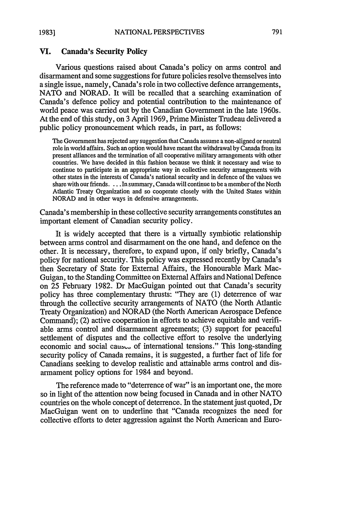#### **VI. Canada's Security Policy**

Various questions raised about Canada's policy on arms control and disarmament and some suggestions for future policies resolve themselves into a single issue, namely, Canada's role in two collective defence arrangements, NATO and NORAD. It will be recalled that a searching examination of Canada's defence policy and potential contribution to the maintenance of world peace was carried out by the Canadian Government in the late 1960s. At the end of this study, on 3 April 1969, Prime Minister Trudeau delivered a public policy pronouncement which reads, in part, as follows:

The Government has rejected any suggestion that Canada assume a non-aligned or neutral role in world affairs. Such an option would have meant the withdrawal by Canada from its present alliances and the termination of all cooperative military arrangements with other countries. We have decided in this fashion because we think it necessary and wise to continue to participate in an appropriate way in collective security arrangements with other states in the interests of Canada's national security and in defence of the values we share with our friends. . .. In summary, Canada will continue to be a member of the North Atlantic Treaty Organization and so cooperate closely with the United States within NORAD and in other ways in defensive arrangements.

Canada's membership in these collective security arrangements constitutes an important element of Canadian security policy.

It is widely accepted that there is a virtually symbiotic relationship between arms control and disarmament on the one hand, and defence on the other. It is necessary, therefore, to expand upon, if only briefly, Canada's policy for national security. This policy was expressed recently by Canada's then Secretary of State for External Affairs, the Honourable Mark Mac-Guigan, to the Standing Committee on External Affairs and National Defence on 25 February 1982. Dr MacGuigan pointed out that Canada's security policy has three complementary thrusts: "They are (1) deterrence of war through the collective security arrangements of NATO (the North Atlantic Treaty Organization) and NORAD (the North American Aerospace Defence Command); (2) active cooperation in efforts to achieve equitable and verifiable arms control and disarmament agreements; (3) support for peaceful settlement of disputes and the collective effort to resolve the underlying economic and social causes of international tensions." This long-standing security policy of Canada remains, it is suggested, a further fact of life for Canadians seeking to develop realistic and attainable arms control and disarmament policy options for 1984 and beyond.

The reference made to "deterrence of war" is an important one, the more so in light of the attention now being focused in Canada and in other NATO countries on the whole concept of deterrence. In the statement just quoted, Dr MacGuigan went on to underline that "Canada recognizes the need for collective efforts to deter aggression against the North American and Euro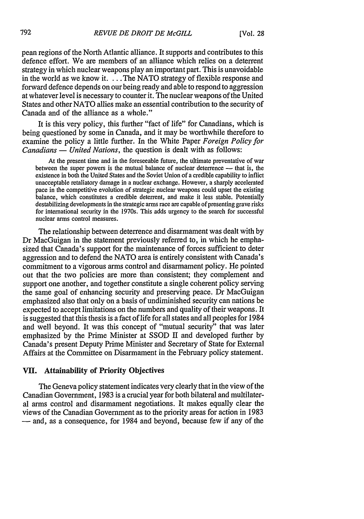pean regions of the North Atlantic alliance. It supports and contributes to this defence effort. We are members of an alliance which relies on a deterrent strategy in which nuclear weapons play an important part. This is unavoidable in the world as we know it. ... The NATO strategy of flexible response and forward defence depends on our being ready and able to respond to aggression at whatever level is necessary to counter it. The nuclear weapons of the United States and other NATO allies make an essential contribution to the security of Canada and of the alliance as a whole."

It is this very policy, this further "fact of life" for Canadians, which is being questioned by some in Canada, and it may be worthwhile therefore to examine the policy a little further. In the White Paper *Foreign Policy for Canadians* — *United Nations*, the question is dealt with as follows:

At the present time and in the foreseeable future, the ultimate preventative of war between the super powers is the mutual balance of nuclear deterrence - that is, the existence in both the United States and the Soviet Union of a credible capability to inflict unacceptable retaliatory damage in a nuclear exchange. However, a sharply accelerated pace in the competitive evolution of strategic nuclear weapons could upset the existing balance, which constitutes a credible deterrent, and make it less stable. Potentially destabilizing developments in the strategic arms race are capable of presenting grave risks for international security in the 1970s. This adds urgency to the search for successful nuclear arms control measures.

The relationship between deterrence and disarmament was dealt with by Dr MacGuigan in the statement previously referred to, in which he emphasized that Canada's support for the maintenance of forces sufficient to deter aggression and to defend the NATO area is entirely consistent with Canada's commitment to a vigorous arms control and disarmament policy. He pointed out that the two policies are more than consistent; they complement and support one another, and together constitute a single coherent policy serving the same goal of enhancing security and preserving peace. Dr MacGuigan emphasized also that only on a basis of undiminished security can nations be expected to accept limitations on the numbers and quality of their weapons. It is suggested that this thesis is a fact of life for all states and all peoples for 1984 and well beyond. It was this concept of "mutual security" that was later emphasized by the Prime Minister at SSOD II and developed further by Canada's present Deputy Prime Minister and Secretary of State for External Affairs at the Committee on Disarmament in the February policy statement.

#### **VII.** Attainability of Priority Objectives

The Geneva policy statement indicates very clearly that in the view of the Canadian Government, 1983 is a crucial year for both bilateral and multilateral arms control and disarmament negotiations. It makes equally clear the views of the Canadian Government as to the priority areas for action in 1983 **-** and, as a consequence, for 1984 and beyond, because few if any of the